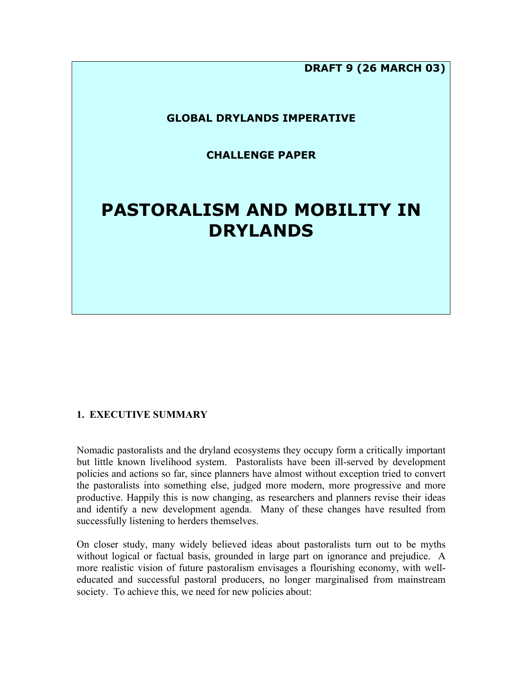**DRAFT 9 (26 MARCH 03)**

# **GLOBAL DRYLANDS IMPERATIVE**

**CHALLENGE PAPER**

# **PASTORALISM AND MOBILITY IN DRYLANDS**

# **1. EXECUTIVE SUMMARY**

Nomadic pastoralists and the dryland ecosystems they occupy form a critically important but little known livelihood system. Pastoralists have been ill-served by development policies and actions so far, since planners have almost without exception tried to convert the pastoralists into something else, judged more modern, more progressive and more productive. Happily this is now changing, as researchers and planners revise their ideas and identify a new development agenda. Many of these changes have resulted from successfully listening to herders themselves.

On closer study, many widely believed ideas about pastoralists turn out to be myths without logical or factual basis, grounded in large part on ignorance and prejudice. A more realistic vision of future pastoralism envisages a flourishing economy, with welleducated and successful pastoral producers, no longer marginalised from mainstream society. To achieve this, we need for new policies about: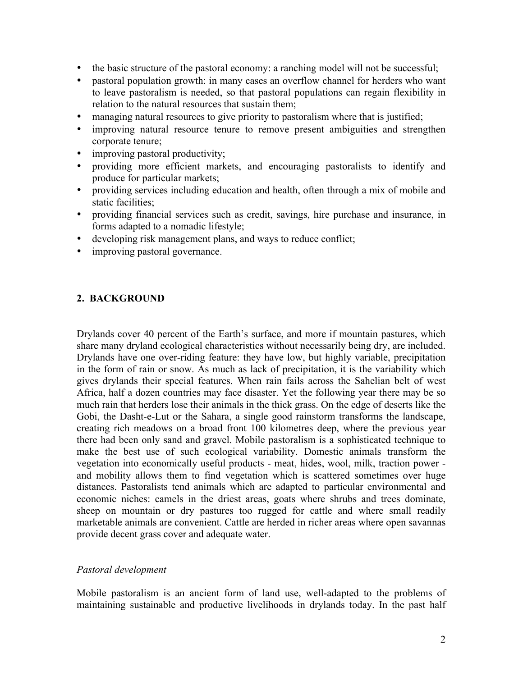- the basic structure of the pastoral economy: a ranching model will not be successful;
- pastoral population growth: in many cases an overflow channel for herders who want to leave pastoralism is needed, so that pastoral populations can regain flexibility in relation to the natural resources that sustain them;
- managing natural resources to give priority to pastoralism where that is justified;
- improving natural resource tenure to remove present ambiguities and strengthen corporate tenure;
- improving pastoral productivity;
- providing more efficient markets, and encouraging pastoralists to identify and produce for particular markets;
- providing services including education and health, often through a mix of mobile and static facilities;
- providing financial services such as credit, savings, hire purchase and insurance, in forms adapted to a nomadic lifestyle;
- developing risk management plans, and ways to reduce conflict;
- improving pastoral governance.

# **2. BACKGROUND**

Drylands cover 40 percent of the Earth's surface, and more if mountain pastures, which share many dryland ecological characteristics without necessarily being dry, are included. Drylands have one over-riding feature: they have low, but highly variable, precipitation in the form of rain or snow. As much as lack of precipitation, it is the variability which gives drylands their special features. When rain fails across the Sahelian belt of west Africa, half a dozen countries may face disaster. Yet the following year there may be so much rain that herders lose their animals in the thick grass. On the edge of deserts like the Gobi, the Dasht-e-Lut or the Sahara, a single good rainstorm transforms the landscape, creating rich meadows on a broad front 100 kilometres deep, where the previous year there had been only sand and gravel. Mobile pastoralism is a sophisticated technique to make the best use of such ecological variability. Domestic animals transform the vegetation into economically useful products - meat, hides, wool, milk, traction power and mobility allows them to find vegetation which is scattered sometimes over huge distances. Pastoralists tend animals which are adapted to particular environmental and economic niches: camels in the driest areas, goats where shrubs and trees dominate, sheep on mountain or dry pastures too rugged for cattle and where small readily marketable animals are convenient. Cattle are herded in richer areas where open savannas provide decent grass cover and adequate water.

## *Pastoral development*

Mobile pastoralism is an ancient form of land use, well-adapted to the problems of maintaining sustainable and productive livelihoods in drylands today. In the past half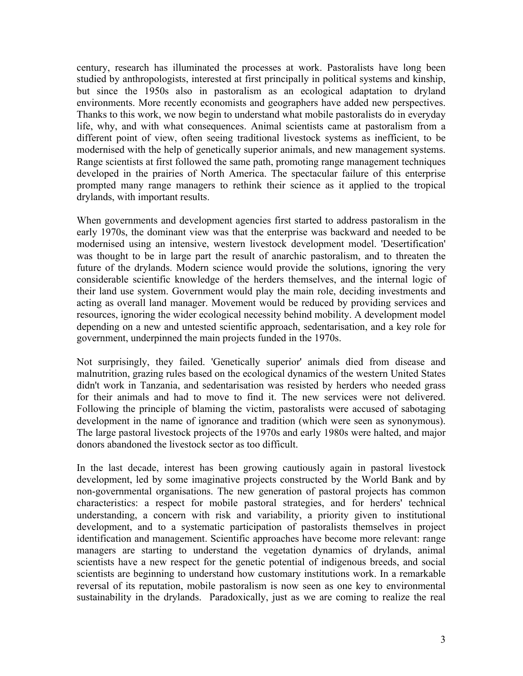century, research has illuminated the processes at work. Pastoralists have long been studied by anthropologists, interested at first principally in political systems and kinship, but since the 1950s also in pastoralism as an ecological adaptation to dryland environments. More recently economists and geographers have added new perspectives. Thanks to this work, we now begin to understand what mobile pastoralists do in everyday life, why, and with what consequences. Animal scientists came at pastoralism from a different point of view, often seeing traditional livestock systems as inefficient, to be modernised with the help of genetically superior animals, and new management systems. Range scientists at first followed the same path, promoting range management techniques developed in the prairies of North America. The spectacular failure of this enterprise prompted many range managers to rethink their science as it applied to the tropical drylands, with important results.

When governments and development agencies first started to address pastoralism in the early 1970s, the dominant view was that the enterprise was backward and needed to be modernised using an intensive, western livestock development model. 'Desertification' was thought to be in large part the result of anarchic pastoralism, and to threaten the future of the drylands. Modern science would provide the solutions, ignoring the very considerable scientific knowledge of the herders themselves, and the internal logic of their land use system. Government would play the main role, deciding investments and acting as overall land manager. Movement would be reduced by providing services and resources, ignoring the wider ecological necessity behind mobility. A development model depending on a new and untested scientific approach, sedentarisation, and a key role for government, underpinned the main projects funded in the 1970s.

Not surprisingly, they failed. 'Genetically superior' animals died from disease and malnutrition, grazing rules based on the ecological dynamics of the western United States didn't work in Tanzania, and sedentarisation was resisted by herders who needed grass for their animals and had to move to find it. The new services were not delivered. Following the principle of blaming the victim, pastoralists were accused of sabotaging development in the name of ignorance and tradition (which were seen as synonymous). The large pastoral livestock projects of the 1970s and early 1980s were halted, and major donors abandoned the livestock sector as too difficult.

In the last decade, interest has been growing cautiously again in pastoral livestock development, led by some imaginative projects constructed by the World Bank and by non-governmental organisations. The new generation of pastoral projects has common characteristics: a respect for mobile pastoral strategies, and for herders' technical understanding, a concern with risk and variability, a priority given to institutional development, and to a systematic participation of pastoralists themselves in project identification and management. Scientific approaches have become more relevant: range managers are starting to understand the vegetation dynamics of drylands, animal scientists have a new respect for the genetic potential of indigenous breeds, and social scientists are beginning to understand how customary institutions work. In a remarkable reversal of its reputation, mobile pastoralism is now seen as one key to environmental sustainability in the drylands. Paradoxically, just as we are coming to realize the real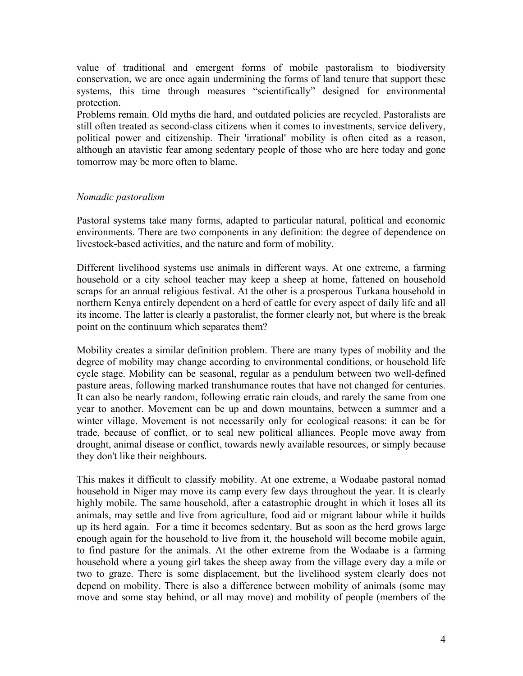value of traditional and emergent forms of mobile pastoralism to biodiversity conservation, we are once again undermining the forms of land tenure that support these systems, this time through measures "scientifically" designed for environmental protection.

Problems remain. Old myths die hard, and outdated policies are recycled. Pastoralists are still often treated as second-class citizens when it comes to investments, service delivery, political power and citizenship. Their 'irrational' mobility is often cited as a reason, although an atavistic fear among sedentary people of those who are here today and gone tomorrow may be more often to blame.

## *Nomadic pastoralism*

Pastoral systems take many forms, adapted to particular natural, political and economic environments. There are two components in any definition: the degree of dependence on livestock-based activities, and the nature and form of mobility.

Different livelihood systems use animals in different ways. At one extreme, a farming household or a city school teacher may keep a sheep at home, fattened on household scraps for an annual religious festival. At the other is a prosperous Turkana household in northern Kenya entirely dependent on a herd of cattle for every aspect of daily life and all its income. The latter is clearly a pastoralist, the former clearly not, but where is the break point on the continuum which separates them?

Mobility creates a similar definition problem. There are many types of mobility and the degree of mobility may change according to environmental conditions, or household life cycle stage. Mobility can be seasonal, regular as a pendulum between two well-defined pasture areas, following marked transhumance routes that have not changed for centuries. It can also be nearly random, following erratic rain clouds, and rarely the same from one year to another. Movement can be up and down mountains, between a summer and a winter village. Movement is not necessarily only for ecological reasons: it can be for trade, because of conflict, or to seal new political alliances. People move away from drought, animal disease or conflict, towards newly available resources, or simply because they don't like their neighbours.

This makes it difficult to classify mobility. At one extreme, a Wodaabe pastoral nomad household in Niger may move its camp every few days throughout the year. It is clearly highly mobile. The same household, after a catastrophic drought in which it loses all its animals, may settle and live from agriculture, food aid or migrant labour while it builds up its herd again. For a time it becomes sedentary. But as soon as the herd grows large enough again for the household to live from it, the household will become mobile again, to find pasture for the animals. At the other extreme from the Wodaabe is a farming household where a young girl takes the sheep away from the village every day a mile or two to graze. There is some displacement, but the livelihood system clearly does not depend on mobility. There is also a difference between mobility of animals (some may move and some stay behind, or all may move) and mobility of people (members of the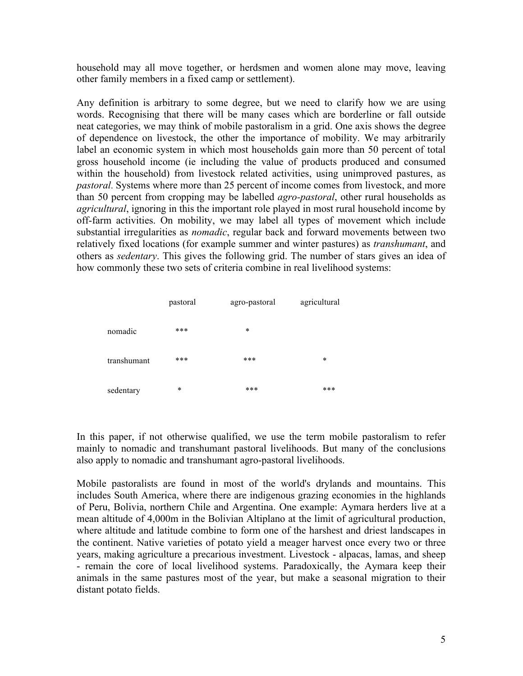household may all move together, or herdsmen and women alone may move, leaving other family members in a fixed camp or settlement).

Any definition is arbitrary to some degree, but we need to clarify how we are using words. Recognising that there will be many cases which are borderline or fall outside neat categories, we may think of mobile pastoralism in a grid. One axis shows the degree of dependence on livestock, the other the importance of mobility. We may arbitrarily label an economic system in which most households gain more than 50 percent of total gross household income (ie including the value of products produced and consumed within the household) from livestock related activities, using unimproved pastures, as *pastoral*. Systems where more than 25 percent of income comes from livestock, and more than 50 percent from cropping may be labelled *agro-pastoral*, other rural households as *agricultural*, ignoring in this the important role played in most rural household income by off-farm activities. On mobility, we may label all types of movement which include substantial irregularities as *nomadic*, regular back and forward movements between two relatively fixed locations (for example summer and winter pastures) as *transhumant*, and others as *sedentary*. This gives the following grid. The number of stars gives an idea of how commonly these two sets of criteria combine in real livelihood systems:

|             | pastoral | agro-pastoral | agricultural |
|-------------|----------|---------------|--------------|
| nomadic     | ***      | $\ast$        |              |
| transhumant | ***      | $***$         | $\ast$       |
| sedentary   | $\ast$   | $***$         | ***          |

In this paper, if not otherwise qualified, we use the term mobile pastoralism to refer mainly to nomadic and transhumant pastoral livelihoods. But many of the conclusions also apply to nomadic and transhumant agro-pastoral livelihoods.

Mobile pastoralists are found in most of the world's drylands and mountains. This includes South America, where there are indigenous grazing economies in the highlands of Peru, Bolivia, northern Chile and Argentina. One example: Aymara herders live at a mean altitude of 4,000m in the Bolivian Altiplano at the limit of agricultural production, where altitude and latitude combine to form one of the harshest and driest landscapes in the continent. Native varieties of potato yield a meager harvest once every two or three years, making agriculture a precarious investment. Livestock - alpacas, lamas, and sheep - remain the core of local livelihood systems. Paradoxically, the Aymara keep their animals in the same pastures most of the year, but make a seasonal migration to their distant potato fields.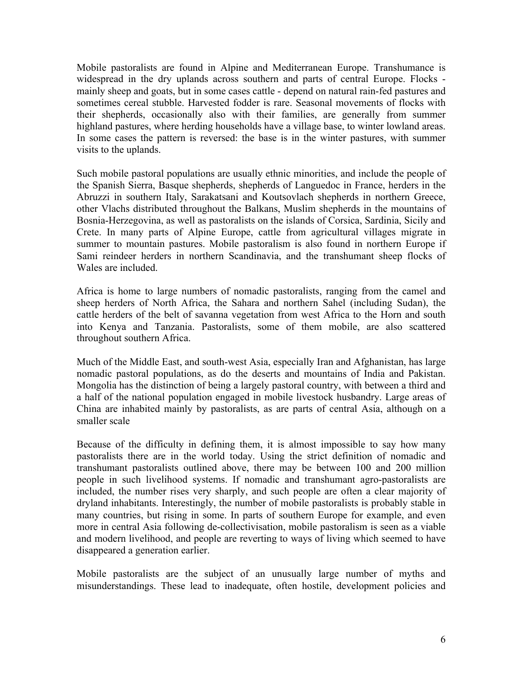Mobile pastoralists are found in Alpine and Mediterranean Europe. Transhumance is widespread in the dry uplands across southern and parts of central Europe. Flocks mainly sheep and goats, but in some cases cattle - depend on natural rain-fed pastures and sometimes cereal stubble. Harvested fodder is rare. Seasonal movements of flocks with their shepherds, occasionally also with their families, are generally from summer highland pastures, where herding households have a village base, to winter lowland areas. In some cases the pattern is reversed: the base is in the winter pastures, with summer visits to the uplands.

Such mobile pastoral populations are usually ethnic minorities, and include the people of the Spanish Sierra, Basque shepherds, shepherds of Languedoc in France, herders in the Abruzzi in southern Italy, Sarakatsani and Koutsovlach shepherds in northern Greece, other Vlachs distributed throughout the Balkans, Muslim shepherds in the mountains of Bosnia-Herzegovina, as well as pastoralists on the islands of Corsica, Sardinia, Sicily and Crete. In many parts of Alpine Europe, cattle from agricultural villages migrate in summer to mountain pastures. Mobile pastoralism is also found in northern Europe if Sami reindeer herders in northern Scandinavia, and the transhumant sheep flocks of Wales are included.

Africa is home to large numbers of nomadic pastoralists, ranging from the camel and sheep herders of North Africa, the Sahara and northern Sahel (including Sudan), the cattle herders of the belt of savanna vegetation from west Africa to the Horn and south into Kenya and Tanzania. Pastoralists, some of them mobile, are also scattered throughout southern Africa.

Much of the Middle East, and south-west Asia, especially Iran and Afghanistan, has large nomadic pastoral populations, as do the deserts and mountains of India and Pakistan. Mongolia has the distinction of being a largely pastoral country, with between a third and a half of the national population engaged in mobile livestock husbandry. Large areas of China are inhabited mainly by pastoralists, as are parts of central Asia, although on a smaller scale

Because of the difficulty in defining them, it is almost impossible to say how many pastoralists there are in the world today. Using the strict definition of nomadic and transhumant pastoralists outlined above, there may be between 100 and 200 million people in such livelihood systems. If nomadic and transhumant agro-pastoralists are included, the number rises very sharply, and such people are often a clear majority of dryland inhabitants. Interestingly, the number of mobile pastoralists is probably stable in many countries, but rising in some. In parts of southern Europe for example, and even more in central Asia following de-collectivisation, mobile pastoralism is seen as a viable and modern livelihood, and people are reverting to ways of living which seemed to have disappeared a generation earlier.

Mobile pastoralists are the subject of an unusually large number of myths and misunderstandings. These lead to inadequate, often hostile, development policies and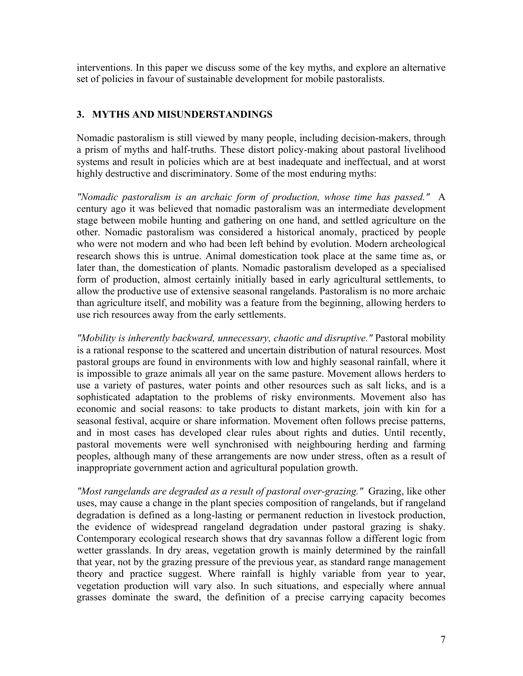interventions. In this paper we discuss some of the key myths, and explore an alternative set of policies in favour of sustainable development for mobile pastoralists.

# **3. MYTHS AND MISUNDERSTANDINGS**

Nomadic pastoralism is still viewed by many people, including decision-makers, through a prism of myths and half-truths. These distort policy-making about pastoral livelihood systems and result in policies which are at best inadequate and ineffectual, and at worst highly destructive and discriminatory. Some of the most enduring myths:

*"Nomadic pastoralism is an archaic form of production, whose time has passed."* A century ago it was believed that nomadic pastoralism was an intermediate development stage between mobile hunting and gathering on one hand, and settled agriculture on the other. Nomadic pastoralism was considered a historical anomaly, practiced by people who were not modern and who had been left behind by evolution. Modern archeological research shows this is untrue. Animal domestication took place at the same time as, or later than, the domestication of plants. Nomadic pastoralism developed as a specialised form of production, almost certainly initially based in early agricultural settlements, to allow the productive use of extensive seasonal rangelands. Pastoralism is no more archaic than agriculture itself, and mobility was a feature from the beginning, allowing herders to use rich resources away from the early settlements.

*"Mobility is inherently backward, unnecessary, chaotic and disruptive."* Pastoral mobility is a rational response to the scattered and uncertain distribution of natural resources. Most pastoral groups are found in environments with low and highly seasonal rainfall, where it is impossible to graze animals all year on the same pasture. Movement allows herders to use a variety of pastures, water points and other resources such as salt licks, and is a sophisticated adaptation to the problems of risky environments. Movement also has economic and social reasons: to take products to distant markets, join with kin for a seasonal festival, acquire or share information. Movement often follows precise patterns, and in most cases has developed clear rules about rights and duties. Until recently, pastoral movements were well synchronised with neighbouring herding and farming peoples, although many of these arrangements are now under stress, often as a result of inappropriate government action and agricultural population growth.

*"Most rangelands are degraded as a result of pastoral over-grazing."* Grazing, like other uses, may cause a change in the plant species composition of rangelands, but if rangeland degradation is defined as a long-lasting or permanent reduction in livestock production, the evidence of widespread rangeland degradation under pastoral grazing is shaky. Contemporary ecological research shows that dry savannas follow a different logic from wetter grasslands. In dry areas, vegetation growth is mainly determined by the rainfall that year, not by the grazing pressure of the previous year, as standard range management theory and practice suggest. Where rainfall is highly variable from year to year, vegetation production will vary also. In such situations, and especially where annual grasses dominate the sward, the definition of a precise carrying capacity becomes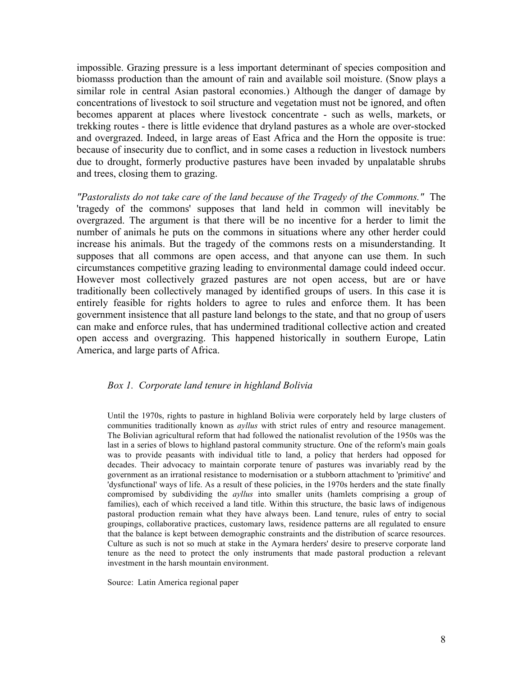impossible. Grazing pressure is a less important determinant of species composition and biomasss production than the amount of rain and available soil moisture. (Snow plays a similar role in central Asian pastoral economies.) Although the danger of damage by concentrations of livestock to soil structure and vegetation must not be ignored, and often becomes apparent at places where livestock concentrate - such as wells, markets, or trekking routes - there is little evidence that dryland pastures as a whole are over-stocked and overgrazed. Indeed, in large areas of East Africa and the Horn the opposite is true: because of insecurity due to conflict, and in some cases a reduction in livestock numbers due to drought, formerly productive pastures have been invaded by unpalatable shrubs and trees, closing them to grazing.

*"Pastoralists do not take care of the land because of the Tragedy of the Commons."* The 'tragedy of the commons' supposes that land held in common will inevitably be overgrazed. The argument is that there will be no incentive for a herder to limit the number of animals he puts on the commons in situations where any other herder could increase his animals. But the tragedy of the commons rests on a misunderstanding. It supposes that all commons are open access, and that anyone can use them. In such circumstances competitive grazing leading to environmental damage could indeed occur. However most collectively grazed pastures are not open access, but are or have traditionally been collectively managed by identified groups of users. In this case it is entirely feasible for rights holders to agree to rules and enforce them. It has been government insistence that all pasture land belongs to the state, and that no group of users can make and enforce rules, that has undermined traditional collective action and created open access and overgrazing. This happened historically in southern Europe, Latin America, and large parts of Africa.

#### *Box 1. Corporate land tenure in highland Bolivia*

Until the 1970s, rights to pasture in highland Bolivia were corporately held by large clusters of communities traditionally known as *ayllus* with strict rules of entry and resource management. The Bolivian agricultural reform that had followed the nationalist revolution of the 1950s was the last in a series of blows to highland pastoral community structure. One of the reform's main goals was to provide peasants with individual title to land, a policy that herders had opposed for decades. Their advocacy to maintain corporate tenure of pastures was invariably read by the government as an irrational resistance to modernisation or a stubborn attachment to 'primitive' and 'dysfunctional' ways of life. As a result of these policies, in the 1970s herders and the state finally compromised by subdividing the *ayllus* into smaller units (hamlets comprising a group of families), each of which received a land title. Within this structure, the basic laws of indigenous pastoral production remain what they have always been. Land tenure, rules of entry to social groupings, collaborative practices, customary laws, residence patterns are all regulated to ensure that the balance is kept between demographic constraints and the distribution of scarce resources. Culture as such is not so much at stake in the Aymara herders' desire to preserve corporate land tenure as the need to protect the only instruments that made pastoral production a relevant investment in the harsh mountain environment.

Source: Latin America regional paper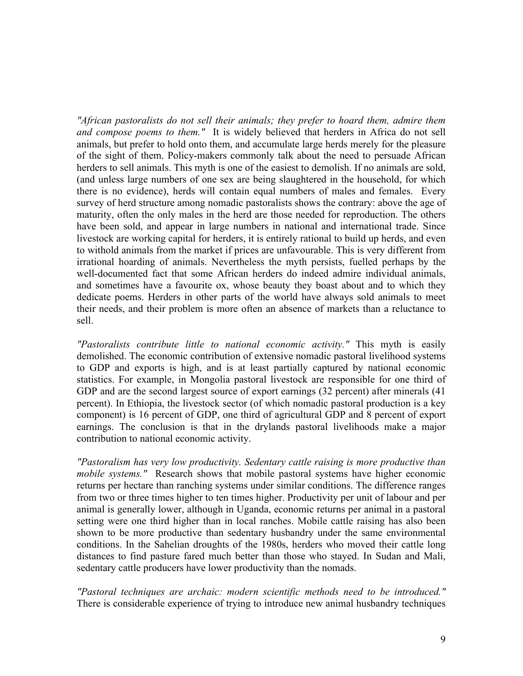*"African pastoralists do not sell their animals; they prefer to hoard them, admire them and compose poems to them."* It is widely believed that herders in Africa do not sell animals, but prefer to hold onto them, and accumulate large herds merely for the pleasure of the sight of them. Policy-makers commonly talk about the need to persuade African herders to sell animals. This myth is one of the easiest to demolish. If no animals are sold, (and unless large numbers of one sex are being slaughtered in the household, for which there is no evidence), herds will contain equal numbers of males and females. Every survey of herd structure among nomadic pastoralists shows the contrary: above the age of maturity, often the only males in the herd are those needed for reproduction. The others have been sold, and appear in large numbers in national and international trade. Since livestock are working capital for herders, it is entirely rational to build up herds, and even to withold animals from the market if prices are unfavourable. This is very different from irrational hoarding of animals. Nevertheless the myth persists, fuelled perhaps by the well-documented fact that some African herders do indeed admire individual animals, and sometimes have a favourite ox, whose beauty they boast about and to which they dedicate poems. Herders in other parts of the world have always sold animals to meet their needs, and their problem is more often an absence of markets than a reluctance to sell.

*"Pastoralists contribute little to national economic activity."* This myth is easily demolished. The economic contribution of extensive nomadic pastoral livelihood systems to GDP and exports is high, and is at least partially captured by national economic statistics. For example, in Mongolia pastoral livestock are responsible for one third of GDP and are the second largest source of export earnings (32 percent) after minerals (41 percent). In Ethiopia, the livestock sector (of which nomadic pastoral production is a key component) is 16 percent of GDP, one third of agricultural GDP and 8 percent of export earnings. The conclusion is that in the drylands pastoral livelihoods make a major contribution to national economic activity.

*"Pastoralism has very low productivity. Sedentary cattle raising is more productive than mobile systems."* Research shows that mobile pastoral systems have higher economic returns per hectare than ranching systems under similar conditions. The difference ranges from two or three times higher to ten times higher. Productivity per unit of labour and per animal is generally lower, although in Uganda, economic returns per animal in a pastoral setting were one third higher than in local ranches. Mobile cattle raising has also been shown to be more productive than sedentary husbandry under the same environmental conditions. In the Sahelian droughts of the 1980s, herders who moved their cattle long distances to find pasture fared much better than those who stayed. In Sudan and Mali, sedentary cattle producers have lower productivity than the nomads.

*"Pastoral techniques are archaic: modern scientific methods need to be introduced."* There is considerable experience of trying to introduce new animal husbandry techniques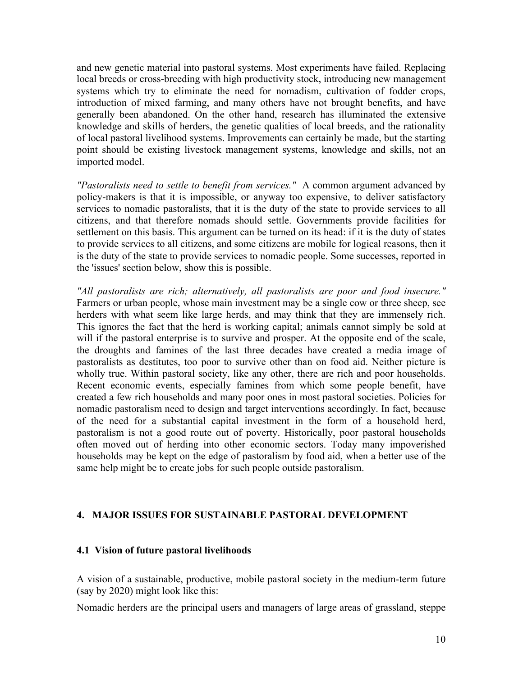and new genetic material into pastoral systems. Most experiments have failed. Replacing local breeds or cross-breeding with high productivity stock, introducing new management systems which try to eliminate the need for nomadism, cultivation of fodder crops, introduction of mixed farming, and many others have not brought benefits, and have generally been abandoned. On the other hand, research has illuminated the extensive knowledge and skills of herders, the genetic qualities of local breeds, and the rationality of local pastoral livelihood systems. Improvements can certainly be made, but the starting point should be existing livestock management systems, knowledge and skills, not an imported model.

*"Pastoralists need to settle to benefit from services."* A common argument advanced by policy-makers is that it is impossible, or anyway too expensive, to deliver satisfactory services to nomadic pastoralists, that it is the duty of the state to provide services to all citizens, and that therefore nomads should settle. Governments provide facilities for settlement on this basis. This argument can be turned on its head: if it is the duty of states to provide services to all citizens, and some citizens are mobile for logical reasons, then it is the duty of the state to provide services to nomadic people. Some successes, reported in the 'issues' section below, show this is possible.

*"All pastoralists are rich; alternatively, all pastoralists are poor and food insecure."* Farmers or urban people, whose main investment may be a single cow or three sheep, see herders with what seem like large herds, and may think that they are immensely rich. This ignores the fact that the herd is working capital; animals cannot simply be sold at will if the pastoral enterprise is to survive and prosper. At the opposite end of the scale, the droughts and famines of the last three decades have created a media image of pastoralists as destitutes, too poor to survive other than on food aid. Neither picture is wholly true. Within pastoral society, like any other, there are rich and poor households. Recent economic events, especially famines from which some people benefit, have created a few rich households and many poor ones in most pastoral societies. Policies for nomadic pastoralism need to design and target interventions accordingly. In fact, because of the need for a substantial capital investment in the form of a household herd, pastoralism is not a good route out of poverty. Historically, poor pastoral households often moved out of herding into other economic sectors. Today many impoverished households may be kept on the edge of pastoralism by food aid, when a better use of the same help might be to create jobs for such people outside pastoralism.

# **4. MAJOR ISSUES FOR SUSTAINABLE PASTORAL DEVELOPMENT**

## **4.1 Vision of future pastoral livelihoods**

A vision of a sustainable, productive, mobile pastoral society in the medium-term future (say by 2020) might look like this:

Nomadic herders are the principal users and managers of large areas of grassland, steppe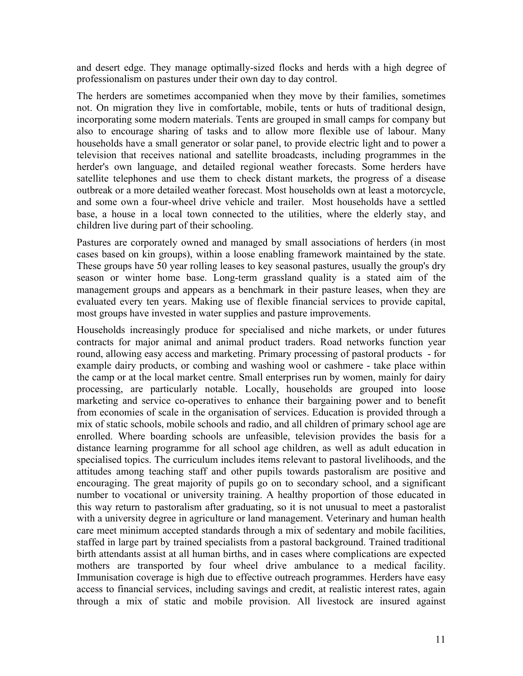and desert edge. They manage optimally-sized flocks and herds with a high degree of professionalism on pastures under their own day to day control.

The herders are sometimes accompanied when they move by their families, sometimes not. On migration they live in comfortable, mobile, tents or huts of traditional design, incorporating some modern materials. Tents are grouped in small camps for company but also to encourage sharing of tasks and to allow more flexible use of labour. Many households have a small generator or solar panel, to provide electric light and to power a television that receives national and satellite broadcasts, including programmes in the herder's own language, and detailed regional weather forecasts. Some herders have satellite telephones and use them to check distant markets, the progress of a disease outbreak or a more detailed weather forecast. Most households own at least a motorcycle, and some own a four-wheel drive vehicle and trailer. Most households have a settled base, a house in a local town connected to the utilities, where the elderly stay, and children live during part of their schooling.

Pastures are corporately owned and managed by small associations of herders (in most cases based on kin groups), within a loose enabling framework maintained by the state. These groups have 50 year rolling leases to key seasonal pastures, usually the group's dry season or winter home base. Long-term grassland quality is a stated aim of the management groups and appears as a benchmark in their pasture leases, when they are evaluated every ten years. Making use of flexible financial services to provide capital, most groups have invested in water supplies and pasture improvements.

Households increasingly produce for specialised and niche markets, or under futures contracts for major animal and animal product traders. Road networks function year round, allowing easy access and marketing. Primary processing of pastoral products - for example dairy products, or combing and washing wool or cashmere - take place within the camp or at the local market centre. Small enterprises run by women, mainly for dairy processing, are particularly notable. Locally, households are grouped into loose marketing and service co-operatives to enhance their bargaining power and to benefit from economies of scale in the organisation of services. Education is provided through a mix of static schools, mobile schools and radio, and all children of primary school age are enrolled. Where boarding schools are unfeasible, television provides the basis for a distance learning programme for all school age children, as well as adult education in specialised topics. The curriculum includes items relevant to pastoral livelihoods, and the attitudes among teaching staff and other pupils towards pastoralism are positive and encouraging. The great majority of pupils go on to secondary school, and a significant number to vocational or university training. A healthy proportion of those educated in this way return to pastoralism after graduating, so it is not unusual to meet a pastoralist with a university degree in agriculture or land management. Veterinary and human health care meet minimum accepted standards through a mix of sedentary and mobile facilities, staffed in large part by trained specialists from a pastoral background. Trained traditional birth attendants assist at all human births, and in cases where complications are expected mothers are transported by four wheel drive ambulance to a medical facility. Immunisation coverage is high due to effective outreach programmes. Herders have easy access to financial services, including savings and credit, at realistic interest rates, again through a mix of static and mobile provision. All livestock are insured against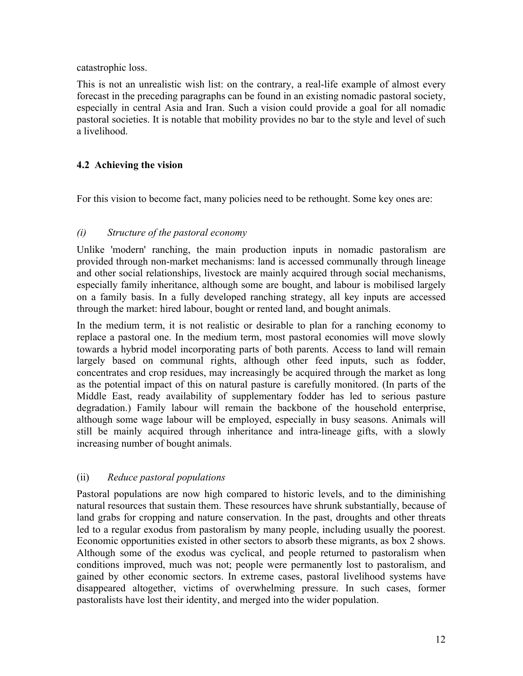catastrophic loss.

This is not an unrealistic wish list: on the contrary, a real-life example of almost every forecast in the preceding paragraphs can be found in an existing nomadic pastoral society, especially in central Asia and Iran. Such a vision could provide a goal for all nomadic pastoral societies. It is notable that mobility provides no bar to the style and level of such a livelihood.

# **4.2 Achieving the vision**

For this vision to become fact, many policies need to be rethought. Some key ones are:

# *(i) Structure of the pastoral economy*

Unlike 'modern' ranching, the main production inputs in nomadic pastoralism are provided through non-market mechanisms: land is accessed communally through lineage and other social relationships, livestock are mainly acquired through social mechanisms, especially family inheritance, although some are bought, and labour is mobilised largely on a family basis. In a fully developed ranching strategy, all key inputs are accessed through the market: hired labour, bought or rented land, and bought animals.

In the medium term, it is not realistic or desirable to plan for a ranching economy to replace a pastoral one. In the medium term, most pastoral economies will move slowly towards a hybrid model incorporating parts of both parents. Access to land will remain largely based on communal rights, although other feed inputs, such as fodder, concentrates and crop residues, may increasingly be acquired through the market as long as the potential impact of this on natural pasture is carefully monitored. (In parts of the Middle East, ready availability of supplementary fodder has led to serious pasture degradation.) Family labour will remain the backbone of the household enterprise, although some wage labour will be employed, especially in busy seasons. Animals will still be mainly acquired through inheritance and intra-lineage gifts, with a slowly increasing number of bought animals.

# (ii) *Reduce pastoral populations*

Pastoral populations are now high compared to historic levels, and to the diminishing natural resources that sustain them. These resources have shrunk substantially, because of land grabs for cropping and nature conservation. In the past, droughts and other threats led to a regular exodus from pastoralism by many people, including usually the poorest. Economic opportunities existed in other sectors to absorb these migrants, as box 2 shows. Although some of the exodus was cyclical, and people returned to pastoralism when conditions improved, much was not; people were permanently lost to pastoralism, and gained by other economic sectors. In extreme cases, pastoral livelihood systems have disappeared altogether, victims of overwhelming pressure. In such cases, former pastoralists have lost their identity, and merged into the wider population.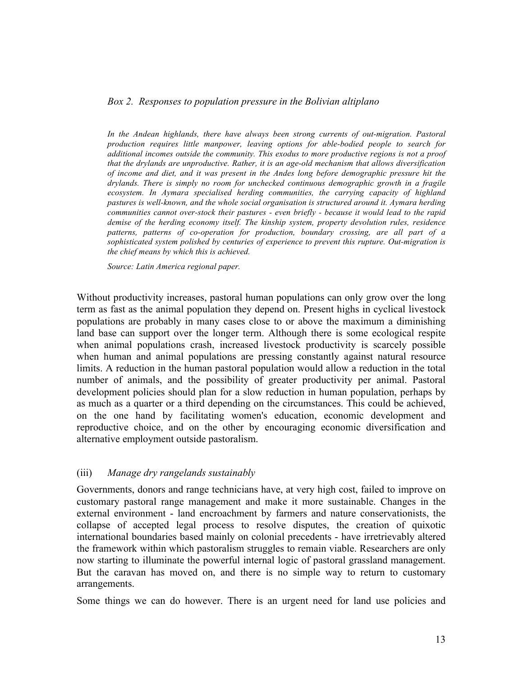#### *Box 2. Responses to population pressure in the Bolivian altiplano*

In the Andean highlands, there have always been strong currents of out-migration. Pastoral *production requires little manpower, leaving options for able-bodied people to search for additional incomes outside the community. This exodus to more productive regions is not a proof that the drylands are unproductive. Rather, it is an age-old mechanism that allows diversification of income and diet, and it was present in the Andes long before demographic pressure hit the drylands. There is simply no room for unchecked continuous demographic growth in a fragile ecosystem. In Aymara specialised herding communities, the carrying capacity of highland pastures is well-known, and the whole social organisation is structured around it. Aymara herding communities cannot over-stock their pastures - even briefly - because it would lead to the rapid demise of the herding economy itself. The kinship system, property devolution rules, residence patterns, patterns of co-operation for production, boundary crossing, are all part of a sophisticated system polished by centuries of experience to prevent this rupture. Out-migration is the chief means by which this is achieved.*

*Source: Latin America regional paper.*

Without productivity increases, pastoral human populations can only grow over the long term as fast as the animal population they depend on. Present highs in cyclical livestock populations are probably in many cases close to or above the maximum a diminishing land base can support over the longer term. Although there is some ecological respite when animal populations crash, increased livestock productivity is scarcely possible when human and animal populations are pressing constantly against natural resource limits. A reduction in the human pastoral population would allow a reduction in the total number of animals, and the possibility of greater productivity per animal. Pastoral development policies should plan for a slow reduction in human population, perhaps by as much as a quarter or a third depending on the circumstances. This could be achieved, on the one hand by facilitating women's education, economic development and reproductive choice, and on the other by encouraging economic diversification and alternative employment outside pastoralism.

#### (iii) *Manage dry rangelands sustainably*

Governments, donors and range technicians have, at very high cost, failed to improve on customary pastoral range management and make it more sustainable. Changes in the external environment - land encroachment by farmers and nature conservationists, the collapse of accepted legal process to resolve disputes, the creation of quixotic international boundaries based mainly on colonial precedents - have irretrievably altered the framework within which pastoralism struggles to remain viable. Researchers are only now starting to illuminate the powerful internal logic of pastoral grassland management. But the caravan has moved on, and there is no simple way to return to customary arrangements.

Some things we can do however. There is an urgent need for land use policies and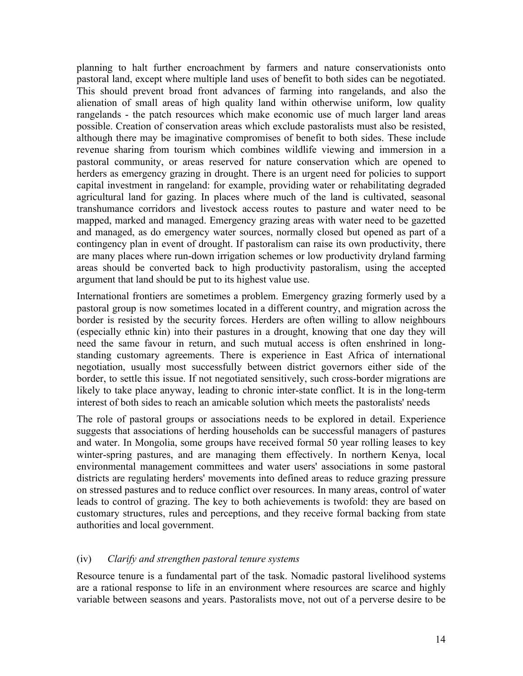planning to halt further encroachment by farmers and nature conservationists onto pastoral land, except where multiple land uses of benefit to both sides can be negotiated. This should prevent broad front advances of farming into rangelands, and also the alienation of small areas of high quality land within otherwise uniform, low quality rangelands - the patch resources which make economic use of much larger land areas possible. Creation of conservation areas which exclude pastoralists must also be resisted, although there may be imaginative compromises of benefit to both sides. These include revenue sharing from tourism which combines wildlife viewing and immersion in a pastoral community, or areas reserved for nature conservation which are opened to herders as emergency grazing in drought. There is an urgent need for policies to support capital investment in rangeland: for example, providing water or rehabilitating degraded agricultural land for gazing. In places where much of the land is cultivated, seasonal transhumance corridors and livestock access routes to pasture and water need to be mapped, marked and managed. Emergency grazing areas with water need to be gazetted and managed, as do emergency water sources, normally closed but opened as part of a contingency plan in event of drought. If pastoralism can raise its own productivity, there are many places where run-down irrigation schemes or low productivity dryland farming areas should be converted back to high productivity pastoralism, using the accepted argument that land should be put to its highest value use.

International frontiers are sometimes a problem. Emergency grazing formerly used by a pastoral group is now sometimes located in a different country, and migration across the border is resisted by the security forces. Herders are often willing to allow neighbours (especially ethnic kin) into their pastures in a drought, knowing that one day they will need the same favour in return, and such mutual access is often enshrined in longstanding customary agreements. There is experience in East Africa of international negotiation, usually most successfully between district governors either side of the border, to settle this issue. If not negotiated sensitively, such cross-border migrations are likely to take place anyway, leading to chronic inter-state conflict. It is in the long-term interest of both sides to reach an amicable solution which meets the pastoralists' needs

The role of pastoral groups or associations needs to be explored in detail. Experience suggests that associations of herding households can be successful managers of pastures and water. In Mongolia, some groups have received formal 50 year rolling leases to key winter-spring pastures, and are managing them effectively. In northern Kenya, local environmental management committees and water users' associations in some pastoral districts are regulating herders' movements into defined areas to reduce grazing pressure on stressed pastures and to reduce conflict over resources. In many areas, control of water leads to control of grazing. The key to both achievements is twofold: they are based on customary structures, rules and perceptions, and they receive formal backing from state authorities and local government.

## (iv) *Clarify and strengthen pastoral tenure systems*

Resource tenure is a fundamental part of the task. Nomadic pastoral livelihood systems are a rational response to life in an environment where resources are scarce and highly variable between seasons and years. Pastoralists move, not out of a perverse desire to be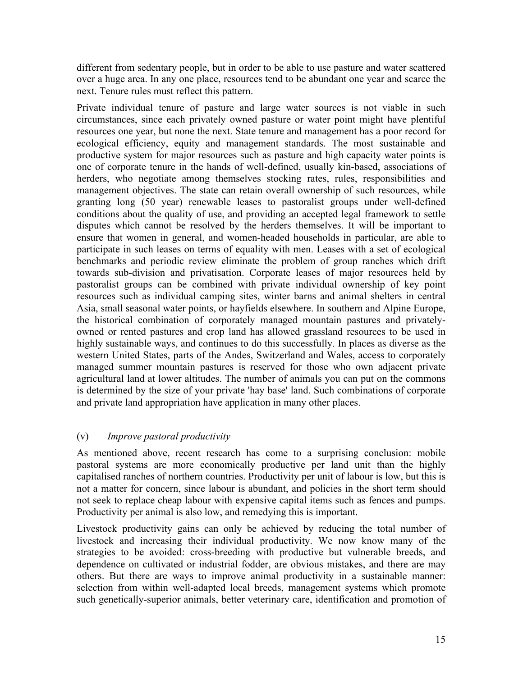different from sedentary people, but in order to be able to use pasture and water scattered over a huge area. In any one place, resources tend to be abundant one year and scarce the next. Tenure rules must reflect this pattern.

Private individual tenure of pasture and large water sources is not viable in such circumstances, since each privately owned pasture or water point might have plentiful resources one year, but none the next. State tenure and management has a poor record for ecological efficiency, equity and management standards. The most sustainable and productive system for major resources such as pasture and high capacity water points is one of corporate tenure in the hands of well-defined, usually kin-based, associations of herders, who negotiate among themselves stocking rates, rules, responsibilities and management objectives. The state can retain overall ownership of such resources, while granting long (50 year) renewable leases to pastoralist groups under well-defined conditions about the quality of use, and providing an accepted legal framework to settle disputes which cannot be resolved by the herders themselves. It will be important to ensure that women in general, and women-headed households in particular, are able to participate in such leases on terms of equality with men. Leases with a set of ecological benchmarks and periodic review eliminate the problem of group ranches which drift towards sub-division and privatisation. Corporate leases of major resources held by pastoralist groups can be combined with private individual ownership of key point resources such as individual camping sites, winter barns and animal shelters in central Asia, small seasonal water points, or hayfields elsewhere. In southern and Alpine Europe, the historical combination of corporately managed mountain pastures and privatelyowned or rented pastures and crop land has allowed grassland resources to be used in highly sustainable ways, and continues to do this successfully. In places as diverse as the western United States, parts of the Andes, Switzerland and Wales, access to corporately managed summer mountain pastures is reserved for those who own adjacent private agricultural land at lower altitudes. The number of animals you can put on the commons is determined by the size of your private 'hay base' land. Such combinations of corporate and private land appropriation have application in many other places.

# (v) *Improve pastoral productivity*

As mentioned above, recent research has come to a surprising conclusion: mobile pastoral systems are more economically productive per land unit than the highly capitalised ranches of northern countries. Productivity per unit of labour is low, but this is not a matter for concern, since labour is abundant, and policies in the short term should not seek to replace cheap labour with expensive capital items such as fences and pumps. Productivity per animal is also low, and remedying this is important.

Livestock productivity gains can only be achieved by reducing the total number of livestock and increasing their individual productivity. We now know many of the strategies to be avoided: cross-breeding with productive but vulnerable breeds, and dependence on cultivated or industrial fodder, are obvious mistakes, and there are may others. But there are ways to improve animal productivity in a sustainable manner: selection from within well-adapted local breeds, management systems which promote such genetically-superior animals, better veterinary care, identification and promotion of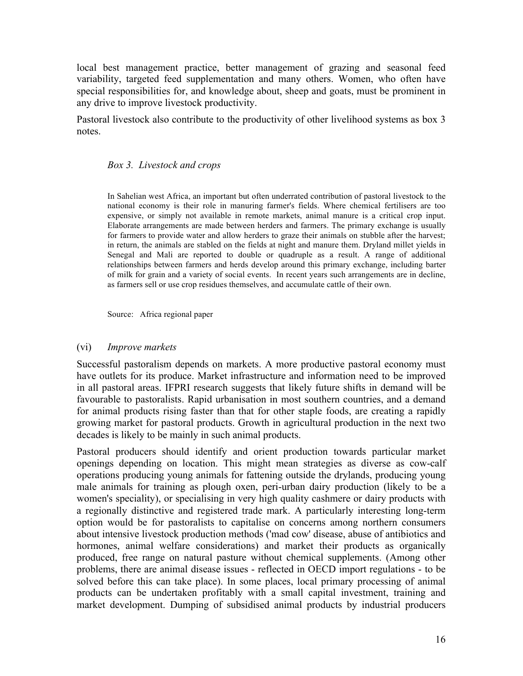local best management practice, better management of grazing and seasonal feed variability, targeted feed supplementation and many others. Women, who often have special responsibilities for, and knowledge about, sheep and goats, must be prominent in any drive to improve livestock productivity.

Pastoral livestock also contribute to the productivity of other livelihood systems as box 3 notes.

## *Box 3. Livestock and crops*

In Sahelian west Africa, an important but often underrated contribution of pastoral livestock to the national economy is their role in manuring farmer's fields. Where chemical fertilisers are too expensive, or simply not available in remote markets, animal manure is a critical crop input. Elaborate arrangements are made between herders and farmers. The primary exchange is usually for farmers to provide water and allow herders to graze their animals on stubble after the harvest; in return, the animals are stabled on the fields at night and manure them. Dryland millet yields in Senegal and Mali are reported to double or quadruple as a result. A range of additional relationships between farmers and herds develop around this primary exchange, including barter of milk for grain and a variety of social events. In recent years such arrangements are in decline, as farmers sell or use crop residues themselves, and accumulate cattle of their own.

Source: Africa regional paper

## (vi) *Improve markets*

Successful pastoralism depends on markets. A more productive pastoral economy must have outlets for its produce. Market infrastructure and information need to be improved in all pastoral areas. IFPRI research suggests that likely future shifts in demand will be favourable to pastoralists. Rapid urbanisation in most southern countries, and a demand for animal products rising faster than that for other staple foods, are creating a rapidly growing market for pastoral products. Growth in agricultural production in the next two decades is likely to be mainly in such animal products.

Pastoral producers should identify and orient production towards particular market openings depending on location. This might mean strategies as diverse as cow-calf operations producing young animals for fattening outside the drylands, producing young male animals for training as plough oxen, peri-urban dairy production (likely to be a women's speciality), or specialising in very high quality cashmere or dairy products with a regionally distinctive and registered trade mark. A particularly interesting long-term option would be for pastoralists to capitalise on concerns among northern consumers about intensive livestock production methods ('mad cow' disease, abuse of antibiotics and hormones, animal welfare considerations) and market their products as organically produced, free range on natural pasture without chemical supplements. (Among other problems, there are animal disease issues - reflected in OECD import regulations - to be solved before this can take place). In some places, local primary processing of animal products can be undertaken profitably with a small capital investment, training and market development. Dumping of subsidised animal products by industrial producers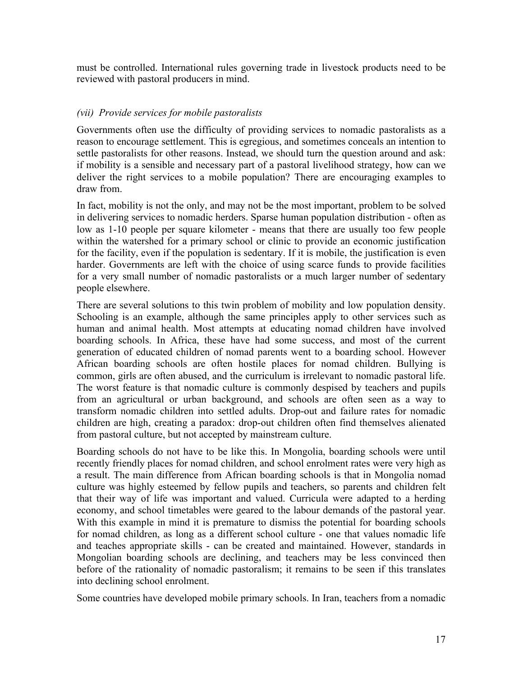must be controlled. International rules governing trade in livestock products need to be reviewed with pastoral producers in mind.

# *(vii) Provide services for mobile pastoralists*

Governments often use the difficulty of providing services to nomadic pastoralists as a reason to encourage settlement. This is egregious, and sometimes conceals an intention to settle pastoralists for other reasons. Instead, we should turn the question around and ask: if mobility is a sensible and necessary part of a pastoral livelihood strategy, how can we deliver the right services to a mobile population? There are encouraging examples to draw from.

In fact, mobility is not the only, and may not be the most important, problem to be solved in delivering services to nomadic herders. Sparse human population distribution - often as low as 1-10 people per square kilometer - means that there are usually too few people within the watershed for a primary school or clinic to provide an economic justification for the facility, even if the population is sedentary. If it is mobile, the justification is even harder. Governments are left with the choice of using scarce funds to provide facilities for a very small number of nomadic pastoralists or a much larger number of sedentary people elsewhere.

There are several solutions to this twin problem of mobility and low population density. Schooling is an example, although the same principles apply to other services such as human and animal health. Most attempts at educating nomad children have involved boarding schools. In Africa, these have had some success, and most of the current generation of educated children of nomad parents went to a boarding school. However African boarding schools are often hostile places for nomad children. Bullying is common, girls are often abused, and the curriculum is irrelevant to nomadic pastoral life. The worst feature is that nomadic culture is commonly despised by teachers and pupils from an agricultural or urban background, and schools are often seen as a way to transform nomadic children into settled adults. Drop-out and failure rates for nomadic children are high, creating a paradox: drop-out children often find themselves alienated from pastoral culture, but not accepted by mainstream culture.

Boarding schools do not have to be like this. In Mongolia, boarding schools were until recently friendly places for nomad children, and school enrolment rates were very high as a result. The main difference from African boarding schools is that in Mongolia nomad culture was highly esteemed by fellow pupils and teachers, so parents and children felt that their way of life was important and valued. Curricula were adapted to a herding economy, and school timetables were geared to the labour demands of the pastoral year. With this example in mind it is premature to dismiss the potential for boarding schools for nomad children, as long as a different school culture - one that values nomadic life and teaches appropriate skills - can be created and maintained. However, standards in Mongolian boarding schools are declining, and teachers may be less convinced then before of the rationality of nomadic pastoralism; it remains to be seen if this translates into declining school enrolment.

Some countries have developed mobile primary schools. In Iran, teachers from a nomadic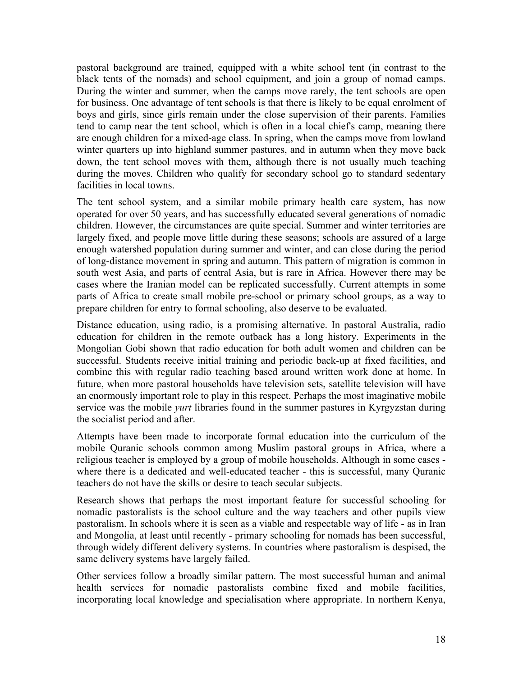pastoral background are trained, equipped with a white school tent (in contrast to the black tents of the nomads) and school equipment, and join a group of nomad camps. During the winter and summer, when the camps move rarely, the tent schools are open for business. One advantage of tent schools is that there is likely to be equal enrolment of boys and girls, since girls remain under the close supervision of their parents. Families tend to camp near the tent school, which is often in a local chief's camp, meaning there are enough children for a mixed-age class. In spring, when the camps move from lowland winter quarters up into highland summer pastures, and in autumn when they move back down, the tent school moves with them, although there is not usually much teaching during the moves. Children who qualify for secondary school go to standard sedentary facilities in local towns.

The tent school system, and a similar mobile primary health care system, has now operated for over 50 years, and has successfully educated several generations of nomadic children. However, the circumstances are quite special. Summer and winter territories are largely fixed, and people move little during these seasons; schools are assured of a large enough watershed population during summer and winter, and can close during the period of long-distance movement in spring and autumn. This pattern of migration is common in south west Asia, and parts of central Asia, but is rare in Africa. However there may be cases where the Iranian model can be replicated successfully. Current attempts in some parts of Africa to create small mobile pre-school or primary school groups, as a way to prepare children for entry to formal schooling, also deserve to be evaluated.

Distance education, using radio, is a promising alternative. In pastoral Australia, radio education for children in the remote outback has a long history. Experiments in the Mongolian Gobi shown that radio education for both adult women and children can be successful. Students receive initial training and periodic back-up at fixed facilities, and combine this with regular radio teaching based around written work done at home. In future, when more pastoral households have television sets, satellite television will have an enormously important role to play in this respect. Perhaps the most imaginative mobile service was the mobile *yurt* libraries found in the summer pastures in Kyrgyzstan during the socialist period and after.

Attempts have been made to incorporate formal education into the curriculum of the mobile Quranic schools common among Muslim pastoral groups in Africa, where a religious teacher is employed by a group of mobile households. Although in some cases where there is a dedicated and well-educated teacher - this is successful, many Quranic teachers do not have the skills or desire to teach secular subjects.

Research shows that perhaps the most important feature for successful schooling for nomadic pastoralists is the school culture and the way teachers and other pupils view pastoralism. In schools where it is seen as a viable and respectable way of life - as in Iran and Mongolia, at least until recently - primary schooling for nomads has been successful, through widely different delivery systems. In countries where pastoralism is despised, the same delivery systems have largely failed.

Other services follow a broadly similar pattern. The most successful human and animal health services for nomadic pastoralists combine fixed and mobile facilities, incorporating local knowledge and specialisation where appropriate. In northern Kenya,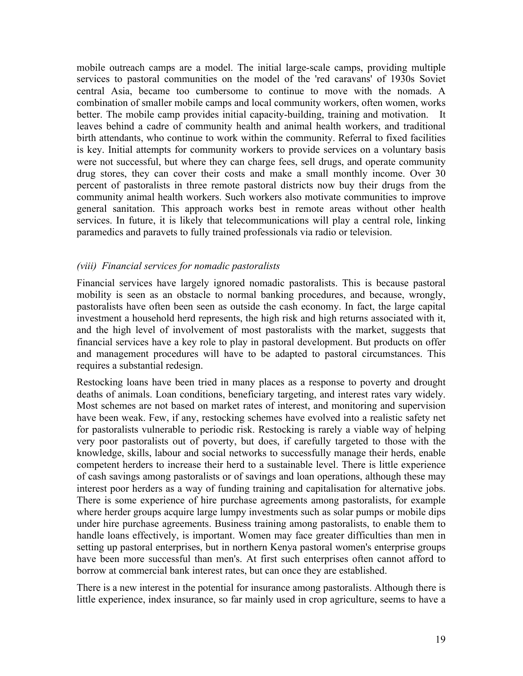mobile outreach camps are a model. The initial large-scale camps, providing multiple services to pastoral communities on the model of the 'red caravans' of 1930s Soviet central Asia, became too cumbersome to continue to move with the nomads. A combination of smaller mobile camps and local community workers, often women, works better. The mobile camp provides initial capacity-building, training and motivation. It leaves behind a cadre of community health and animal health workers, and traditional birth attendants, who continue to work within the community. Referral to fixed facilities is key. Initial attempts for community workers to provide services on a voluntary basis were not successful, but where they can charge fees, sell drugs, and operate community drug stores, they can cover their costs and make a small monthly income. Over 30 percent of pastoralists in three remote pastoral districts now buy their drugs from the community animal health workers. Such workers also motivate communities to improve general sanitation. This approach works best in remote areas without other health services. In future, it is likely that telecommunications will play a central role, linking paramedics and paravets to fully trained professionals via radio or television.

## *(viii) Financial services for nomadic pastoralists*

Financial services have largely ignored nomadic pastoralists. This is because pastoral mobility is seen as an obstacle to normal banking procedures, and because, wrongly, pastoralists have often been seen as outside the cash economy. In fact, the large capital investment a household herd represents, the high risk and high returns associated with it, and the high level of involvement of most pastoralists with the market, suggests that financial services have a key role to play in pastoral development. But products on offer and management procedures will have to be adapted to pastoral circumstances. This requires a substantial redesign.

Restocking loans have been tried in many places as a response to poverty and drought deaths of animals. Loan conditions, beneficiary targeting, and interest rates vary widely. Most schemes are not based on market rates of interest, and monitoring and supervision have been weak. Few, if any, restocking schemes have evolved into a realistic safety net for pastoralists vulnerable to periodic risk. Restocking is rarely a viable way of helping very poor pastoralists out of poverty, but does, if carefully targeted to those with the knowledge, skills, labour and social networks to successfully manage their herds, enable competent herders to increase their herd to a sustainable level. There is little experience of cash savings among pastoralists or of savings and loan operations, although these may interest poor herders as a way of funding training and capitalisation for alternative jobs. There is some experience of hire purchase agreements among pastoralists, for example where herder groups acquire large lumpy investments such as solar pumps or mobile dips under hire purchase agreements. Business training among pastoralists, to enable them to handle loans effectively, is important. Women may face greater difficulties than men in setting up pastoral enterprises, but in northern Kenya pastoral women's enterprise groups have been more successful than men's. At first such enterprises often cannot afford to borrow at commercial bank interest rates, but can once they are established.

There is a new interest in the potential for insurance among pastoralists. Although there is little experience, index insurance, so far mainly used in crop agriculture, seems to have a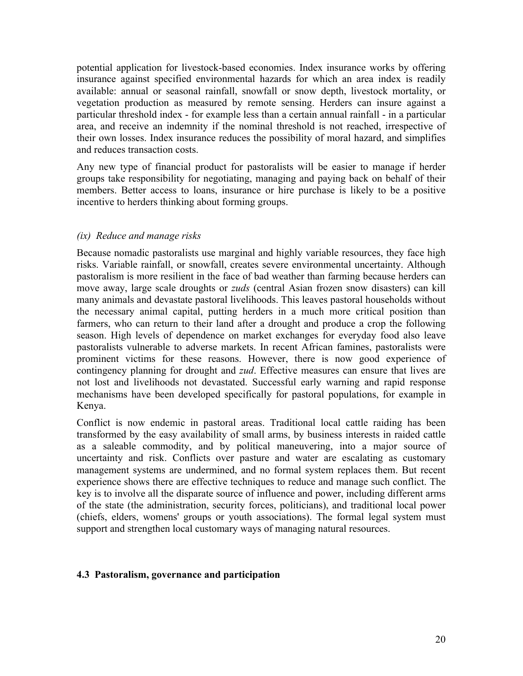potential application for livestock-based economies. Index insurance works by offering insurance against specified environmental hazards for which an area index is readily available: annual or seasonal rainfall, snowfall or snow depth, livestock mortality, or vegetation production as measured by remote sensing. Herders can insure against a particular threshold index - for example less than a certain annual rainfall - in a particular area, and receive an indemnity if the nominal threshold is not reached, irrespective of their own losses. Index insurance reduces the possibility of moral hazard, and simplifies and reduces transaction costs.

Any new type of financial product for pastoralists will be easier to manage if herder groups take responsibility for negotiating, managing and paying back on behalf of their members. Better access to loans, insurance or hire purchase is likely to be a positive incentive to herders thinking about forming groups.

## *(ix) Reduce and manage risks*

Because nomadic pastoralists use marginal and highly variable resources, they face high risks. Variable rainfall, or snowfall, creates severe environmental uncertainty. Although pastoralism is more resilient in the face of bad weather than farming because herders can move away, large scale droughts or *zuds* (central Asian frozen snow disasters) can kill many animals and devastate pastoral livelihoods. This leaves pastoral households without the necessary animal capital, putting herders in a much more critical position than farmers, who can return to their land after a drought and produce a crop the following season. High levels of dependence on market exchanges for everyday food also leave pastoralists vulnerable to adverse markets. In recent African famines, pastoralists were prominent victims for these reasons. However, there is now good experience of contingency planning for drought and *zud*. Effective measures can ensure that lives are not lost and livelihoods not devastated. Successful early warning and rapid response mechanisms have been developed specifically for pastoral populations, for example in Kenya.

Conflict is now endemic in pastoral areas. Traditional local cattle raiding has been transformed by the easy availability of small arms, by business interests in raided cattle as a saleable commodity, and by political maneuvering, into a major source of uncertainty and risk. Conflicts over pasture and water are escalating as customary management systems are undermined, and no formal system replaces them. But recent experience shows there are effective techniques to reduce and manage such conflict. The key is to involve all the disparate source of influence and power, including different arms of the state (the administration, security forces, politicians), and traditional local power (chiefs, elders, womens' groups or youth associations). The formal legal system must support and strengthen local customary ways of managing natural resources.

## **4.3 Pastoralism, governance and participation**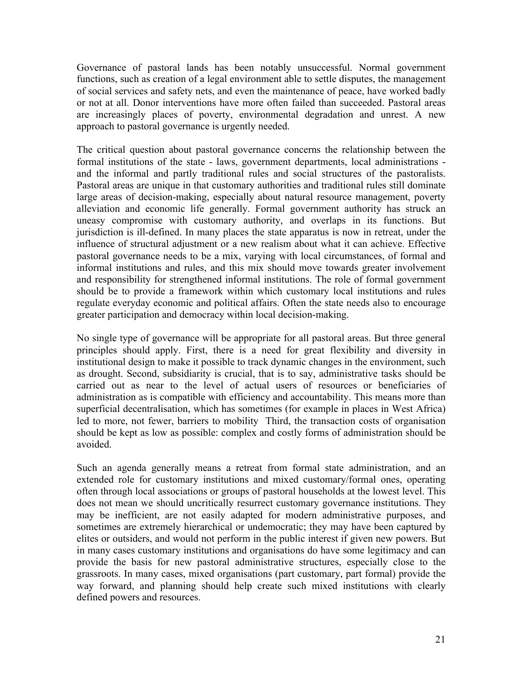Governance of pastoral lands has been notably unsuccessful. Normal government functions, such as creation of a legal environment able to settle disputes, the management of social services and safety nets, and even the maintenance of peace, have worked badly or not at all. Donor interventions have more often failed than succeeded. Pastoral areas are increasingly places of poverty, environmental degradation and unrest. A new approach to pastoral governance is urgently needed.

The critical question about pastoral governance concerns the relationship between the formal institutions of the state - laws, government departments, local administrations and the informal and partly traditional rules and social structures of the pastoralists. Pastoral areas are unique in that customary authorities and traditional rules still dominate large areas of decision-making, especially about natural resource management, poverty alleviation and economic life generally. Formal government authority has struck an uneasy compromise with customary authority, and overlaps in its functions. But jurisdiction is ill-defined. In many places the state apparatus is now in retreat, under the influence of structural adjustment or a new realism about what it can achieve. Effective pastoral governance needs to be a mix, varying with local circumstances, of formal and informal institutions and rules, and this mix should move towards greater involvement and responsibility for strengthened informal institutions. The role of formal government should be to provide a framework within which customary local institutions and rules regulate everyday economic and political affairs. Often the state needs also to encourage greater participation and democracy within local decision-making.

No single type of governance will be appropriate for all pastoral areas. But three general principles should apply. First, there is a need for great flexibility and diversity in institutional design to make it possible to track dynamic changes in the environment, such as drought. Second, subsidiarity is crucial, that is to say, administrative tasks should be carried out as near to the level of actual users of resources or beneficiaries of administration as is compatible with efficiency and accountability. This means more than superficial decentralisation, which has sometimes (for example in places in West Africa) led to more, not fewer, barriers to mobility Third, the transaction costs of organisation should be kept as low as possible: complex and costly forms of administration should be avoided.

Such an agenda generally means a retreat from formal state administration, and an extended role for customary institutions and mixed customary/formal ones, operating often through local associations or groups of pastoral households at the lowest level. This does not mean we should uncritically resurrect customary governance institutions. They may be inefficient, are not easily adapted for modern administrative purposes, and sometimes are extremely hierarchical or undemocratic; they may have been captured by elites or outsiders, and would not perform in the public interest if given new powers. But in many cases customary institutions and organisations do have some legitimacy and can provide the basis for new pastoral administrative structures, especially close to the grassroots. In many cases, mixed organisations (part customary, part formal) provide the way forward, and planning should help create such mixed institutions with clearly defined powers and resources.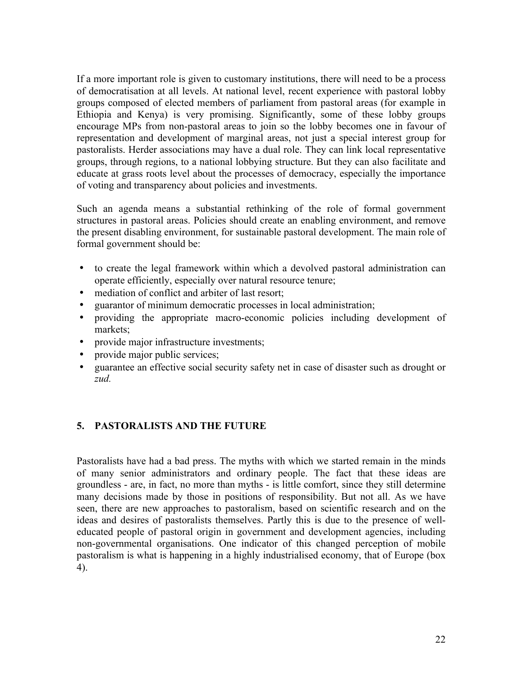If a more important role is given to customary institutions, there will need to be a process of democratisation at all levels. At national level, recent experience with pastoral lobby groups composed of elected members of parliament from pastoral areas (for example in Ethiopia and Kenya) is very promising. Significantly, some of these lobby groups encourage MPs from non-pastoral areas to join so the lobby becomes one in favour of representation and development of marginal areas, not just a special interest group for pastoralists. Herder associations may have a dual role. They can link local representative groups, through regions, to a national lobbying structure. But they can also facilitate and educate at grass roots level about the processes of democracy, especially the importance of voting and transparency about policies and investments.

Such an agenda means a substantial rethinking of the role of formal government structures in pastoral areas. Policies should create an enabling environment, and remove the present disabling environment, for sustainable pastoral development. The main role of formal government should be:

- to create the legal framework within which a devolved pastoral administration can operate efficiently, especially over natural resource tenure;
- mediation of conflict and arbiter of last resort;
- guarantor of minimum democratic processes in local administration;
- providing the appropriate macro-economic policies including development of markets;
- provide major infrastructure investments;
- provide major public services;
- guarantee an effective social security safety net in case of disaster such as drought or *zud.*

# **5. PASTORALISTS AND THE FUTURE**

Pastoralists have had a bad press. The myths with which we started remain in the minds of many senior administrators and ordinary people. The fact that these ideas are groundless - are, in fact, no more than myths - is little comfort, since they still determine many decisions made by those in positions of responsibility. But not all. As we have seen, there are new approaches to pastoralism, based on scientific research and on the ideas and desires of pastoralists themselves. Partly this is due to the presence of welleducated people of pastoral origin in government and development agencies, including non-governmental organisations. One indicator of this changed perception of mobile pastoralism is what is happening in a highly industrialised economy, that of Europe (box 4).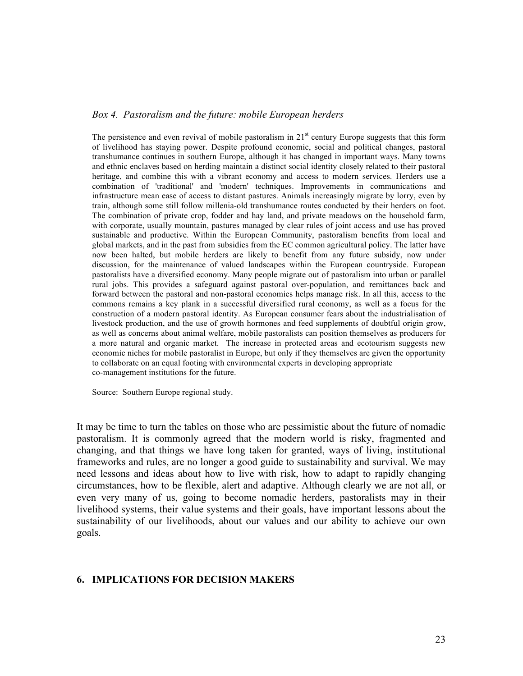#### *Box 4. Pastoralism and the future: mobile European herders*

The persistence and even revival of mobile pastoralism in  $21<sup>st</sup>$  century Europe suggests that this form of livelihood has staying power. Despite profound economic, social and political changes, pastoral transhumance continues in southern Europe, although it has changed in important ways. Many towns and ethnic enclaves based on herding maintain a distinct social identity closely related to their pastoral heritage, and combine this with a vibrant economy and access to modern services. Herders use a combination of 'traditional' and 'modern' techniques. Improvements in communications and infrastructure mean ease of access to distant pastures. Animals increasingly migrate by lorry, even by train, although some still follow millenia-old transhumance routes conducted by their herders on foot. The combination of private crop, fodder and hay land, and private meadows on the household farm, with corporate, usually mountain, pastures managed by clear rules of joint access and use has proved sustainable and productive. Within the European Community, pastoralism benefits from local and global markets, and in the past from subsidies from the EC common agricultural policy. The latter have now been halted, but mobile herders are likely to benefit from any future subsidy, now under discussion, for the maintenance of valued landscapes within the European countryside. European pastoralists have a diversified economy. Many people migrate out of pastoralism into urban or parallel rural jobs. This provides a safeguard against pastoral over-population, and remittances back and forward between the pastoral and non-pastoral economies helps manage risk. In all this, access to the commons remains a key plank in a successful diversified rural economy, as well as a focus for the construction of a modern pastoral identity. As European consumer fears about the industrialisation of livestock production, and the use of growth hormones and feed supplements of doubtful origin grow, as well as concerns about animal welfare, mobile pastoralists can position themselves as producers for a more natural and organic market. The increase in protected areas and ecotourism suggests new economic niches for mobile pastoralist in Europe, but only if they themselves are given the opportunity to collaborate on an equal footing with environmental experts in developing appropriate co-management institutions for the future.

Source: Southern Europe regional study.

It may be time to turn the tables on those who are pessimistic about the future of nomadic pastoralism. It is commonly agreed that the modern world is risky, fragmented and changing, and that things we have long taken for granted, ways of living, institutional frameworks and rules, are no longer a good guide to sustainability and survival. We may need lessons and ideas about how to live with risk, how to adapt to rapidly changing circumstances, how to be flexible, alert and adaptive. Although clearly we are not all, or even very many of us, going to become nomadic herders, pastoralists may in their livelihood systems, their value systems and their goals, have important lessons about the sustainability of our livelihoods, about our values and our ability to achieve our own goals.

#### **6. IMPLICATIONS FOR DECISION MAKERS**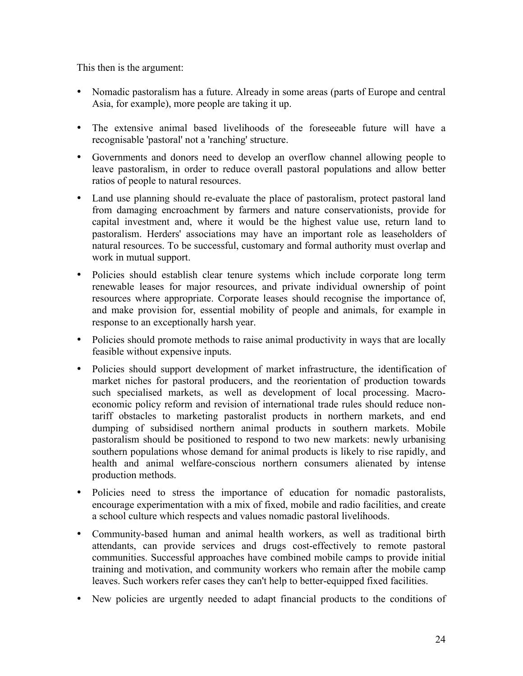This then is the argument:

- Nomadic pastoralism has a future. Already in some areas (parts of Europe and central Asia, for example), more people are taking it up.
- The extensive animal based livelihoods of the foreseeable future will have a recognisable 'pastoral' not a 'ranching' structure.
- Governments and donors need to develop an overflow channel allowing people to leave pastoralism, in order to reduce overall pastoral populations and allow better ratios of people to natural resources.
- Land use planning should re-evaluate the place of pastoralism, protect pastoral land from damaging encroachment by farmers and nature conservationists, provide for capital investment and, where it would be the highest value use, return land to pastoralism. Herders' associations may have an important role as leaseholders of natural resources. To be successful, customary and formal authority must overlap and work in mutual support.
- Policies should establish clear tenure systems which include corporate long term renewable leases for major resources, and private individual ownership of point resources where appropriate. Corporate leases should recognise the importance of, and make provision for, essential mobility of people and animals, for example in response to an exceptionally harsh year.
- Policies should promote methods to raise animal productivity in ways that are locally feasible without expensive inputs.
- Policies should support development of market infrastructure, the identification of market niches for pastoral producers, and the reorientation of production towards such specialised markets, as well as development of local processing. Macroeconomic policy reform and revision of international trade rules should reduce nontariff obstacles to marketing pastoralist products in northern markets, and end dumping of subsidised northern animal products in southern markets. Mobile pastoralism should be positioned to respond to two new markets: newly urbanising southern populations whose demand for animal products is likely to rise rapidly, and health and animal welfare-conscious northern consumers alienated by intense production methods.
- Policies need to stress the importance of education for nomadic pastoralists, encourage experimentation with a mix of fixed, mobile and radio facilities, and create a school culture which respects and values nomadic pastoral livelihoods.
- Community-based human and animal health workers, as well as traditional birth attendants, can provide services and drugs cost-effectively to remote pastoral communities. Successful approaches have combined mobile camps to provide initial training and motivation, and community workers who remain after the mobile camp leaves. Such workers refer cases they can't help to better-equipped fixed facilities.
- New policies are urgently needed to adapt financial products to the conditions of